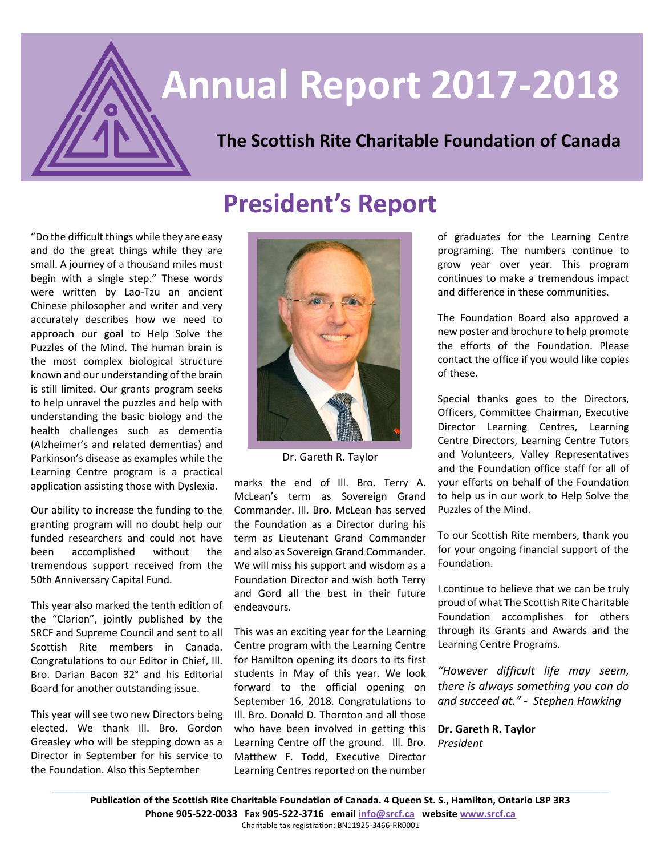# **Annual Report 2017-2018**

# **The Scottish Rite Charitable Foundation of Canada**

## "Do the difficult things while they are easy and do the great things while they are small. A journey of a thousand miles must begin with a single step." These words were written by Lao-Tzu an ancient Chinese philosopher and writer and very accurately describes how we need to approach our goal to Help Solve the Puzzles of the Mind. The human brain is the most complex biological structure known and our understanding of the brain

is still limited. Our grants program seeks to help unravel the puzzles and help with understanding the basic biology and the health challenges such as dementia (Alzheimer's and related dementias) and Parkinson's disease as examples while the Learning Centre program is a practical application assisting those with Dyslexia.

Our ability to increase the funding to the granting program will no doubt help our funded researchers and could not have been accomplished without the tremendous support received from the 50th Anniversary Capital Fund.

This year also marked the tenth edition of the "Clarion", jointly published by the SRCF and Supreme Council and sent to all Scottish Rite members in Canada. Congratulations to our Editor in Chief, Ill. Bro. Darian Bacon 32° and his Editorial Board for another outstanding issue.

This year will see two new Directors being elected. We thank Ill. Bro. Gordon Greasley who will be stepping down as a Director in September for his service to the Foundation. Also this September



**President's Report**

Dr. Gareth R. Taylor

marks the end of Ill. Bro. Terry A. McLean's term as Sovereign Grand Commander. Ill. Bro. McLean has served the Foundation as a Director during his term as Lieutenant Grand Commander and also as Sovereign Grand Commander. We will miss his support and wisdom as a Foundation Director and wish both Terry and Gord all the best in their future endeavours.

This was an exciting year for the Learning Centre program with the Learning Centre for Hamilton opening its doors to its first students in May of this year. We look forward to the official opening on September 16, 2018. Congratulations to Ill. Bro. Donald D. Thornton and all those who have been involved in getting this Learning Centre off the ground. Ill. Bro. Matthew F. Todd, Executive Director Learning Centres reported on the number

of graduates for the Learning Centre programing. The numbers continue to grow year over year. This program continues to make a tremendous impact and difference in these communities.

The Foundation Board also approved a new poster and brochure to help promote the efforts of the Foundation. Please contact the office if you would like copies of these.

Special thanks goes to the Directors, Officers, Committee Chairman, Executive Director Learning Centres, Learning Centre Directors, Learning Centre Tutors and Volunteers, Valley Representatives and the Foundation office staff for all of your efforts on behalf of the Foundation to help us in our work to Help Solve the Puzzles of the Mind.

To our Scottish Rite members, thank you for your ongoing financial support of the Foundation.

I continue to believe that we can be truly proud of what The Scottish Rite Charitable Foundation accomplishes for others through its Grants and Awards and the Learning Centre Programs.

*"However difficult life may seem, there is always something you can do and succeed at." - Stephen Hawking*

**Dr. Gareth R. Taylor** *President*

**Publication of the Scottish Rite Charitable Foundation of Canada. 4 Queen St. S., Hamilton, Ontario L8P 3R3 Phone 905-522-0033 Fax 905-522-3716 email [info@srcf.ca](mailto:info@srcf.ca) website [www.srcf.ca](http://www.srcf.ca/)** Charitable tax registration: BN11925-3466-RR0001

**\_\_\_\_\_\_\_\_\_\_\_\_\_\_\_\_\_\_\_\_\_\_\_\_\_\_\_\_\_\_\_\_\_\_\_\_\_\_\_\_\_\_\_\_\_\_\_\_\_\_\_\_\_\_\_\_\_\_\_\_\_\_\_\_\_\_\_\_\_\_\_\_\_\_\_\_\_\_\_\_\_\_\_\_\_\_\_\_\_\_\_\_\_\_\_\_\_\_\_\_\_\_\_\_\_\_\_\_\_\_\_\_\_\_\_\_\_\_\_\_\_\_\_\_\_\_\_\_\_\_\_\_\_\_\_\_\_\_\_\_\_\_\_\_\_\_\_\_\_\_\_\_\_\_\_\_\_\_\_\_\_\_\_\_\_\_\_\_\_\_\_\_\_\_\_\_\_\_\_\_\_\_\_\_\_\_\_\_\_\_\_\_\_\_\_\_\_\_\_\_\_\_\_\_\_\_\_**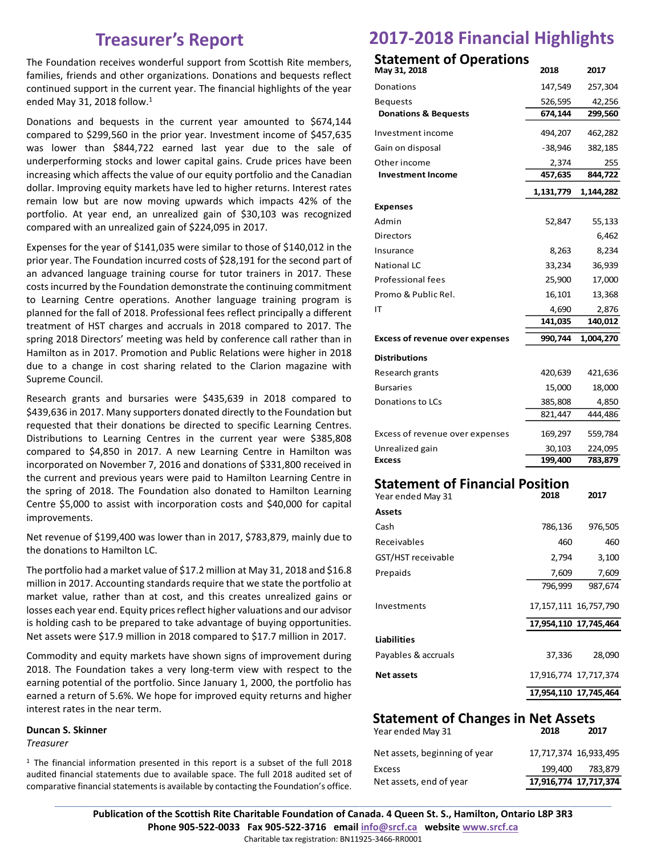## **Treasurer's Report**

The Foundation receives wonderful support from Scottish Rite members, families, friends and other organizations. Donations and bequests reflect continued support in the current year. The financial highlights of the year ended May 31, 2018 follow.<sup>1</sup>

Donations and bequests in the current year amounted to \$674,144 compared to \$299,560 in the prior year. Investment income of \$457,635 was lower than \$844,722 earned last year due to the sale of underperforming stocks and lower capital gains. Crude prices have been increasing which affects the value of our equity portfolio and the Canadian dollar. Improving equity markets have led to higher returns. Interest rates remain low but are now moving upwards which impacts 42% of the portfolio. At year end, an unrealized gain of \$30,103 was recognized compared with an unrealized gain of \$224,095 in 2017.

Expenses for the year of \$141,035 were similar to those of \$140,012 in the prior year. The Foundation incurred costs of \$28,191 for the second part of an advanced language training course for tutor trainers in 2017. These costs incurred by the Foundation demonstrate the continuing commitment to Learning Centre operations. Another language training program is planned for the fall of 2018. Professional fees reflect principally a different treatment of HST charges and accruals in 2018 compared to 2017. The spring 2018 Directors' meeting was held by conference call rather than in Hamilton as in 2017. Promotion and Public Relations were higher in 2018 due to a change in cost sharing related to the Clarion magazine with Supreme Council.

Research grants and bursaries were \$435,639 in 2018 compared to \$439,636 in 2017. Many supporters donated directly to the Foundation but requested that their donations be directed to specific Learning Centres. Distributions to Learning Centres in the current year were \$385,808 compared to \$4,850 in 2017. A new Learning Centre in Hamilton was incorporated on November 7, 2016 and donations of \$331,800 received in the current and previous years were paid to Hamilton Learning Centre in the spring of 2018. The Foundation also donated to Hamilton Learning Centre \$5,000 to assist with incorporation costs and \$40,000 for capital improvements.

Net revenue of \$199,400 was lower than in 2017, \$783,879, mainly due to the donations to Hamilton LC.

The portfolio had a market value of \$17.2 million at May 31, 2018 and \$16.8 million in 2017. Accounting standards require that we state the portfolio at market value, rather than at cost, and this creates unrealized gains or losses each year end. Equity prices reflect higher valuations and our advisor is holding cash to be prepared to take advantage of buying opportunities. Net assets were \$17.9 million in 2018 compared to \$17.7 million in 2017.

Commodity and equity markets have shown signs of improvement during 2018. The Foundation takes a very long-term view with respect to the earning potential of the portfolio. Since January 1, 2000, the portfolio has earned a return of 5.6%. We hope for improved equity returns and higher interest rates in the near term.

#### **Duncan S. Skinner**

*Treasurer*

<sup>1</sup> The financial information presented in this report is a subset of the full 2018 audited financial statements due to available space. The full 2018 audited set of comparative financial statements is available by contacting the Foundation's office.

# **2017-2018 Financial Highlights**

## **Statement of Operations**

| May 31, 2018                                                | 2018      | 2017                      |
|-------------------------------------------------------------|-----------|---------------------------|
| Donations                                                   | 147,549   | 257,304                   |
| <b>Bequests</b>                                             | 526,595   | 42,256                    |
| <b>Donations &amp; Bequests</b>                             | 674,144   | 299,560                   |
| Investment income                                           | 494,207   | 462,282                   |
| Gain on disposal                                            | -38,946   | 382,185                   |
| Other income                                                | 2,374     | 255                       |
| <b>Investment Income</b>                                    | 457,635   | 844,722                   |
|                                                             | 1,131,779 | 1,144,282                 |
| <b>Expenses</b>                                             |           |                           |
| Admin                                                       | 52,847    | 55,133                    |
| Directors                                                   |           | 6,462                     |
| Insurance                                                   | 8,263     | 8,234                     |
| <b>National LC</b>                                          | 33,234    | 36,939                    |
| <b>Professional fees</b>                                    | 25,900    | 17,000                    |
| Promo & Public Rel.                                         | 16,101    | 13,368                    |
| IΤ                                                          | 4,690     | 2,876                     |
|                                                             | 141,035   | 140,012                   |
| <b>Excess of revenue over expenses</b>                      | 990,744   | 1,004,270                 |
| <b>Distributions</b>                                        |           |                           |
| Research grants                                             | 420,639   | 421,636                   |
| <b>Bursaries</b>                                            | 15,000    | 18,000                    |
| Donations to LCs                                            | 385,808   | 4,850                     |
|                                                             | 821,447   | 444,486                   |
| Excess of revenue over expenses                             | 169,297   | 559,784                   |
| Unrealized gain                                             | 30,103    | 224,095                   |
| <b>Excess</b>                                               | 199,400   | 783,879                   |
| <b>Statement of Financial Position</b><br>Year ended May 31 | 2018      | 2017                      |
| <b>Assets</b>                                               |           |                           |
| Cash                                                        | 786,136   | 976,505                   |
| Receivables                                                 | 460       | 460                       |
| GST/HST receivable                                          | 2,794     | 3,100                     |
| Prepaids                                                    | 7,609     | 7,609                     |
|                                                             | 796,999   | 987,674                   |
| Investments                                                 |           | 17, 157, 111 16, 757, 790 |
|                                                             |           | 17,954,110 17,745,464     |
| <b>Liabilities</b>                                          |           |                           |
| Payables & accruals                                         | 37,336    | 28,090                    |

#### **Statement of Changes in Net Assets**

**Net assets** 17,916,774 17,717,374

**17,954,110 17,745,464**

| Net assets, end of year       |         | 17,916,774 17,717,374 |
|-------------------------------|---------|-----------------------|
| Excess                        | 199.400 | 783.879               |
| Net assets, beginning of year |         | 17,717,374 16,933,495 |
| Year ended May 31             | 2018    | 2017                  |

**\_\_\_\_\_\_\_\_\_\_\_\_\_\_\_\_\_\_\_\_\_\_\_\_\_\_\_\_\_\_\_\_\_\_\_\_\_\_\_\_\_\_\_\_\_\_\_\_\_\_\_\_\_\_\_\_\_\_\_\_\_\_\_\_\_\_\_\_\_\_\_\_\_\_\_\_\_\_\_\_\_\_\_\_\_\_\_\_\_\_\_\_\_\_\_\_\_\_\_\_\_\_\_\_\_\_\_\_\_\_\_\_\_\_\_\_\_\_\_\_\_\_\_\_\_\_\_\_\_\_\_\_\_\_\_\_\_\_\_\_\_\_\_\_\_\_\_\_\_\_\_\_\_\_\_\_\_\_\_\_\_\_\_\_\_\_\_\_\_\_\_\_\_\_\_\_\_\_\_\_\_\_\_\_\_\_\_\_\_\_\_\_\_\_\_\_\_\_\_\_\_\_\_\_\_\_\_ Publication of the Scottish Rite Charitable Foundation of Canada. 4 Queen St. S., Hamilton, Ontario L8P 3R3 Phone 905-522-0033 Fax 905-522-3716 email [info@srcf.ca](mailto:info@srcf.ca) website [www.srcf.ca](http://www.srcf.ca/)** Charitable tax registration: BN11925-3466-RR0001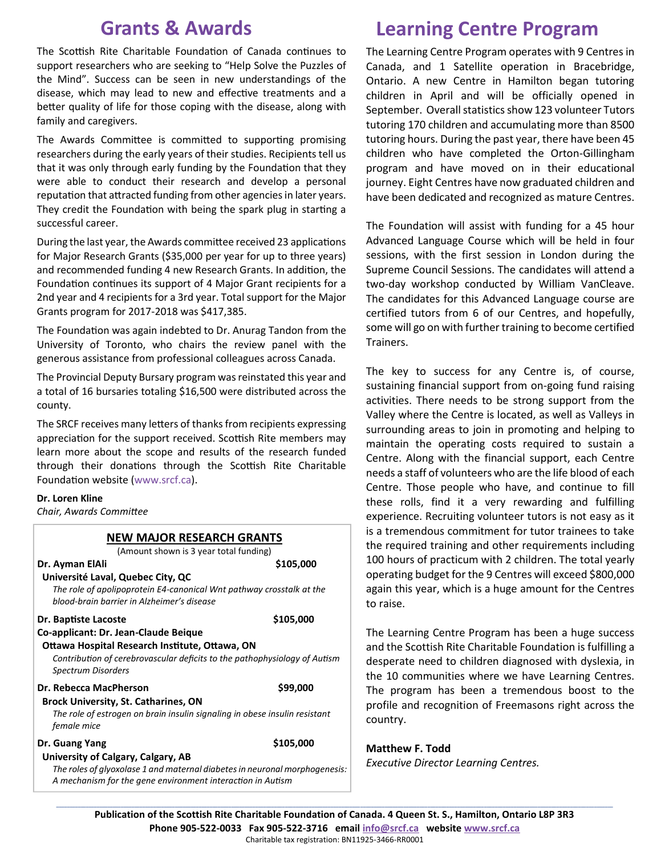# **Grants & Awards**

The Scottish Rite Charitable Foundation of Canada continues to support researchers who are seeking to "Help Solve the Puzzles of the Mind". Success can be seen in new understandings of the disease, which may lead to new and effective treatments and a better quality of life for those coping with the disease, along with family and caregivers.

The Awards Committee is committed to supporting promising researchers during the early years of their studies. Recipients tell us that it was only through early funding by the Foundation that they were able to conduct their research and develop a personal reputation that attracted funding from other agencies in later years. They credit the Foundation with being the spark plug in starting a successful career.

During the last year, the Awards committee received 23 applications for Major Research Grants (\$35,000 per year for up to three years) and recommended funding 4 new Research Grants. In addition, the Foundation continues its support of 4 Major Grant recipients for a 2nd year and 4 recipients for a 3rd year. Total support for the Major Grants program for 2017-2018 was \$417,385.

The Foundation was again indebted to Dr. Anurag Tandon from the University of Toronto, who chairs the review panel with the generous assistance from professional colleagues across Canada.

The Provincial Deputy Bursary program was reinstated this year and a total of 16 bursaries totaling \$16,500 were distributed across the county.

The SRCF receives many letters of thanks from recipients expressing appreciation for the support received. Scottish Rite members may learn more about the scope and results of the research funded through their donations through the Scottish Rite Charitable Foundation website (www.srcf.ca).

#### **Dr. Loren Kline**

*Chair, Awards Committee*

#### **NEW MAJOR RESEARCH GRANTS**

(Amount shown is 3 year total funding)

**Dr. Ayman ElAli \$105,000 Université Laval, Quebec City, QC** *The role of apolipoprotein E4-canonical Wnt pathway crosstalk at the blood-brain barrier in Alzheimer's disease* **Dr. Baptiste Lacoste \$105,000 Co-applicant: Dr. Jean-Claude Beique Ottawa Hospital Research Institute, Ottawa, ON** *Contribution of cerebrovascular deficits to the pathophysiology of Autism Spectrum Disorders* **Dr. Rebecca MacPherson** \$99,000  **Brock University, St. Catharines, ON** *The role of estrogen on brain insulin signaling in obese insulin resistant female mice* **Dr. Guang Yang \$105,000** 

#### **University of Calgary, Calgary, AB**

*The roles of glyoxolase 1 and maternal diabetes in neuronal morphogenesis: A mechanism for the gene environment interaction in Autism*

# **Learning Centre Program**

The Learning Centre Program operates with 9 Centres in Canada, and 1 Satellite operation in Bracebridge, Ontario. A new Centre in Hamilton began tutoring children in April and will be officially opened in September. Overall statistics show 123 volunteer Tutors tutoring 170 children and accumulating more than 8500 tutoring hours. During the past year, there have been 45 children who have completed the Orton-Gillingham program and have moved on in their educational journey. Eight Centres have now graduated children and have been dedicated and recognized as mature Centres.

The Foundation will assist with funding for a 45 hour Advanced Language Course which will be held in four sessions, with the first session in London during the Supreme Council Sessions. The candidates will attend a two-day workshop conducted by William VanCleave. The candidates for this Advanced Language course are certified tutors from 6 of our Centres, and hopefully, some will go on with further training to become certified Trainers.

The key to success for any Centre is, of course, sustaining financial support from on-going fund raising activities. There needs to be strong support from the Valley where the Centre is located, as well as Valleys in surrounding areas to join in promoting and helping to maintain the operating costs required to sustain a Centre. Along with the financial support, each Centre needs a staff of volunteers who are the life blood of each Centre. Those people who have, and continue to fill these rolls, find it a very rewarding and fulfilling experience. Recruiting volunteer tutors is not easy as it is a tremendous commitment for tutor trainees to take the required training and other requirements including 100 hours of practicum with 2 children. The total yearly operating budget for the 9 Centres will exceed \$800,000 again this year, which is a huge amount for the Centres to raise.

The Learning Centre Program has been a huge success and the Scottish Rite Charitable Foundation is fulfilling a desperate need to children diagnosed with dyslexia, in the 10 communities where we have Learning Centres. The program has been a tremendous boost to the profile and recognition of Freemasons right across the country.

#### **Matthew F. Todd**

*Executive Director Learning Centres.*